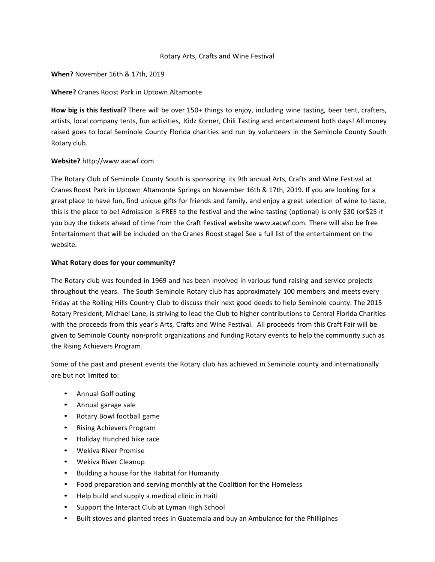# Rotary Arts, Crafts and Wine Festival

### **When?** November 16th & 17th, 2019

# **Where?** Cranes Roost Park in Uptown Altamonte

**How big is this festival?** There will be over 150+ things to enjoy, including wine tasting, beer tent, crafters, artists, local company tents, fun activities, Kidz Korner, Chili Tasting and entertainment both days! All money raised goes to local Seminole County Florida charities and run by volunteers in the Seminole County South Rotary club.

# **Website?** [http://www.aacwf.com](http://www.aacwf.com/)

The Rotary Club of Seminole County South is sponsoring its 9th annual Arts, Crafts and Wine Festival at Cranes Roost Park in Uptown Altamonte Springs on November 16th & 17th, 2019. If you are looking for a great place to have fun, find unique gifts for friends and family, and enjoy a great selection of wine to taste, this is the place to be! Admission is FREE to the festival and the wine tasting (optional) is only \$30 (or\$25 if you buy the tickets ahead of time from the Craft Festival website www.aacwf.com. There will also be free Entertainment that will be included on the Cranes Roost stage! See a full list of the entertainment on the website.

# **What Rotary does for your community?**

The Rotary club was founded in 1969 and has been involved in various fund raising and service projects throughout the years. The South Seminole Rotary club has approximately 100 members and meets every Friday at the Rolling Hills Country Club to discuss their next good deeds to help Seminole county. The 2015 Rotary President, Michael Lane, is striving to lead the Club to higher contributions to Central Florida Charities with the proceeds from this year's Arts, Crafts and Wine Festival. All proceeds from this Craft Fair will be given to Seminole County non-profit organizations and funding Rotary events to help the community such as the Rising Achievers Program.

Some of the past and present events the Rotary club has achieved in Seminole county and internationally are but not limited to:

- Annual Golf outing
- Annual garage sale
- Rotary Bowl football game
- Rising Achievers Program
- Holiday Hundred bike race
- Wekiva River Promise
- Wekiva River Cleanup
- Building a house for the Habitat for Humanity
- Food preparation and serving monthly at the Coalition for the Homeless
- Help build and supply a medical clinic in Haiti
- Support the Interact Club at Lyman High School
- Built stoves and planted trees in Guatemala and buy an Ambulance for the Phillipines